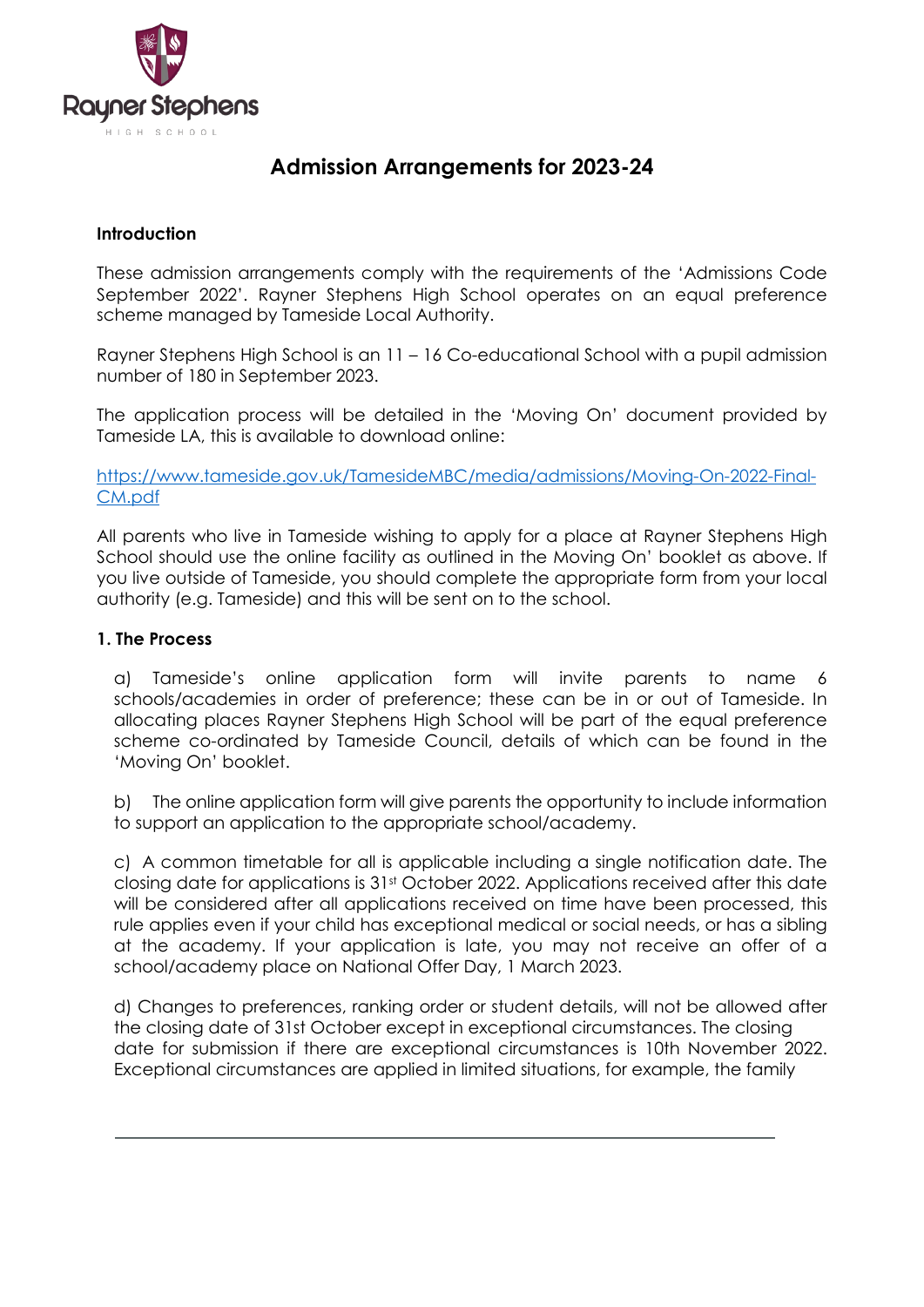

## **Admission Arrangements for 2023-24**

### **Introduction**

These admission arrangements comply with the requirements of the 'Admissions Code September 2022'. Rayner Stephens High School operates on an equal preference scheme managed by Tameside Local Authority.

Rayner Stephens High School is an 11 – 16 Co-educational School with a pupil admission number of 180 in September 2023.

The application process will be detailed in the 'Moving On' document provided by Tameside LA, this is available to download online:

[https://www.tameside.gov.uk/TamesideMBC/media/admissions/Moving-On-2022-Final-](https://www.tameside.gov.uk/TamesideMBC/media/admissions/Moving-On-2022-Final-CM.pdf)[CM.pdf](https://www.tameside.gov.uk/TamesideMBC/media/admissions/Moving-On-2022-Final-CM.pdf)

All parents who live in Tameside wishing to apply for a place at Rayner Stephens High School should use the online facility as outlined in the Moving On' booklet as above. If you live outside of Tameside, you should complete the appropriate form from your local authority (e.g. Tameside) and this will be sent on to the school.

### **1. The Process**

a) Tameside's online application form will invite parents to name 6 schools/academies in order of preference; these can be in or out of Tameside. In allocating places Rayner Stephens High School will be part of the equal preference scheme co-ordinated by Tameside Council, details of which can be found in the 'Moving On' booklet.

b) The online application form will give parents the opportunity to include information to support an application to the appropriate school/academy.

c) A common timetable for all is applicable including a single notification date. The closing date for applications is 31st October 2022. Applications received after this date will be considered after all applications received on time have been processed, this rule applies even if your child has exceptional medical or social needs, or has a sibling at the academy. If your application is late, you may not receive an offer of a school/academy place on National Offer Day, 1 March 2023.

d) Changes to preferences, ranking order or student details, will not be allowed after the closing date of 31st October except in exceptional circumstances. The closing date for submission if there are exceptional circumstances is 10th November 2022. Exceptional circumstances are applied in limited situations, for example, the family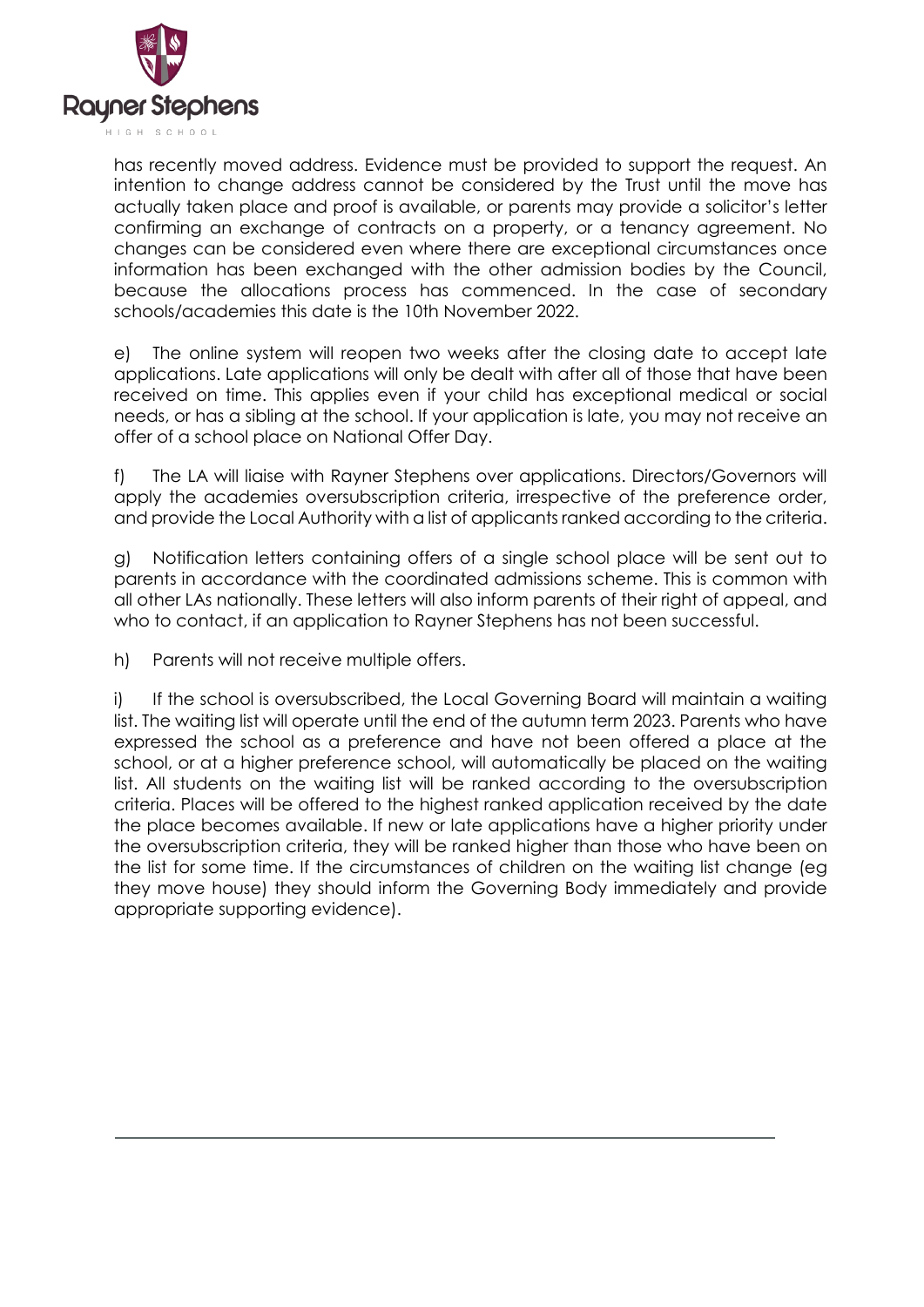

has recently moved address. Evidence must be provided to support the request. An intention to change address cannot be considered by the Trust until the move has actually taken place and proof is available, or parents may provide a solicitor's letter confirming an exchange of contracts on a property, or a tenancy agreement. No changes can be considered even where there are exceptional circumstances once information has been exchanged with the other admission bodies by the Council, because the allocations process has commenced. In the case of secondary schools/academies this date is the 10th November 2022.

e) The online system will reopen two weeks after the closing date to accept late applications. Late applications will only be dealt with after all of those that have been received on time. This applies even if your child has exceptional medical or social needs, or has a sibling at the school. If your application is late, you may not receive an offer of a school place on National Offer Day.

f) The LA will liaise with Rayner Stephens over applications. Directors/Governors will apply the academies oversubscription criteria, irrespective of the preference order, and provide the Local Authority with a list of applicants ranked according to the criteria.

g) Notification letters containing offers of a single school place will be sent out to parents in accordance with the coordinated admissions scheme. This is common with all other LAs nationally. These letters will also inform parents of their right of appeal, and who to contact, if an application to Rayner Stephens has not been successful.

h) Parents will not receive multiple offers.

i) If the school is oversubscribed, the Local Governing Board will maintain a waiting list. The waiting list will operate until the end of the autumn term 2023. Parents who have expressed the school as a preference and have not been offered a place at the school, or at a higher preference school, will automatically be placed on the waiting list. All students on the waiting list will be ranked according to the oversubscription criteria. Places will be offered to the highest ranked application received by the date the place becomes available. If new or late applications have a higher priority under the oversubscription criteria, they will be ranked higher than those who have been on the list for some time. If the circumstances of children on the waiting list change (eg they move house) they should inform the Governing Body immediately and provide appropriate supporting evidence).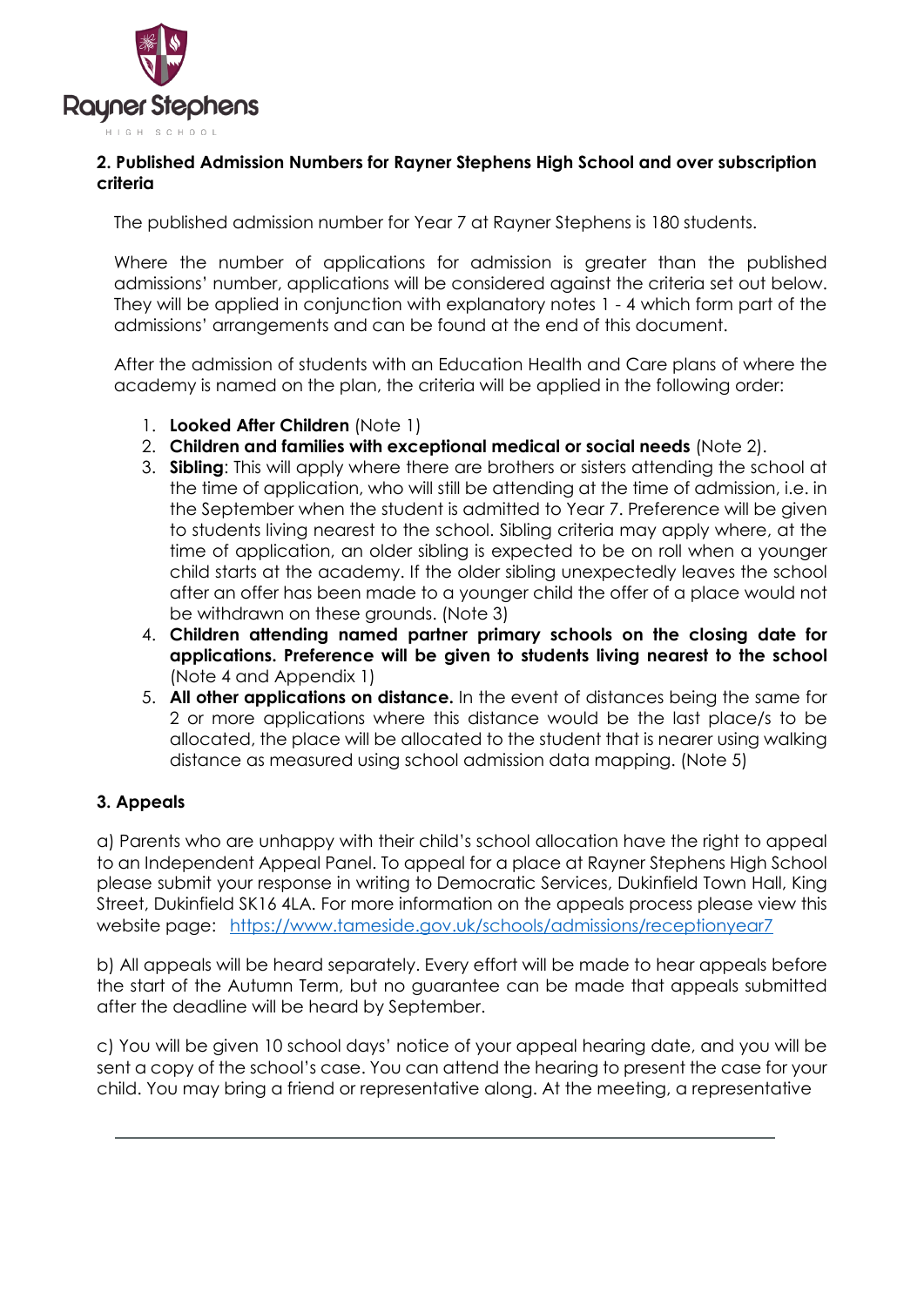

### **2. Published Admission Numbers for Rayner Stephens High School and over subscription criteria**

The published admission number for Year 7 at Rayner Stephens is 180 students.

Where the number of applications for admission is greater than the published admissions' number, applications will be considered against the criteria set out below. They will be applied in conjunction with explanatory notes 1 - 4 which form part of the admissions' arrangements and can be found at the end of this document.

After the admission of students with an Education Health and Care plans of where the academy is named on the plan, the criteria will be applied in the following order:

- 1. **Looked After Children** (Note 1)
- 2. **Children and families with exceptional medical or social needs** (Note 2).
- 3. **Sibling**: This will apply where there are brothers or sisters attending the school at the time of application, who will still be attending at the time of admission, i.e. in the September when the student is admitted to Year 7. Preference will be given to students living nearest to the school. Sibling criteria may apply where, at the time of application, an older sibling is expected to be on roll when a younger child starts at the academy. If the older sibling unexpectedly leaves the school after an offer has been made to a younger child the offer of a place would not be withdrawn on these grounds. (Note 3)
- 4. **Children attending named partner primary schools on the closing date for applications. Preference will be given to students living nearest to the school**  (Note 4 and Appendix 1)
- 5. **All other applications on distance.** In the event of distances being the same for 2 or more applications where this distance would be the last place/s to be allocated, the place will be allocated to the student that is nearer using walking distance as measured using school admission data mapping. (Note 5)

### **3. Appeals**

a) Parents who are unhappy with their child's school allocation have the right to appeal to an Independent Appeal Panel. To appeal for a place at Rayner Stephens High School please submit your response in writing to Democratic Services, Dukinfield Town Hall, King Street, Dukinfield SK16 4LA. For more information on the appeals process please view this website page: <https://www.tameside.gov.uk/schools/admissions/receptionyear7>

b) All appeals will be heard separately. Every effort will be made to hear appeals before the start of the Autumn Term, but no guarantee can be made that appeals submitted after the deadline will be heard by September.

c) You will be given 10 school days' notice of your appeal hearing date, and you will be sent a copy of the school's case. You can attend the hearing to present the case for your child. You may bring a friend or representative along. At the meeting, a representative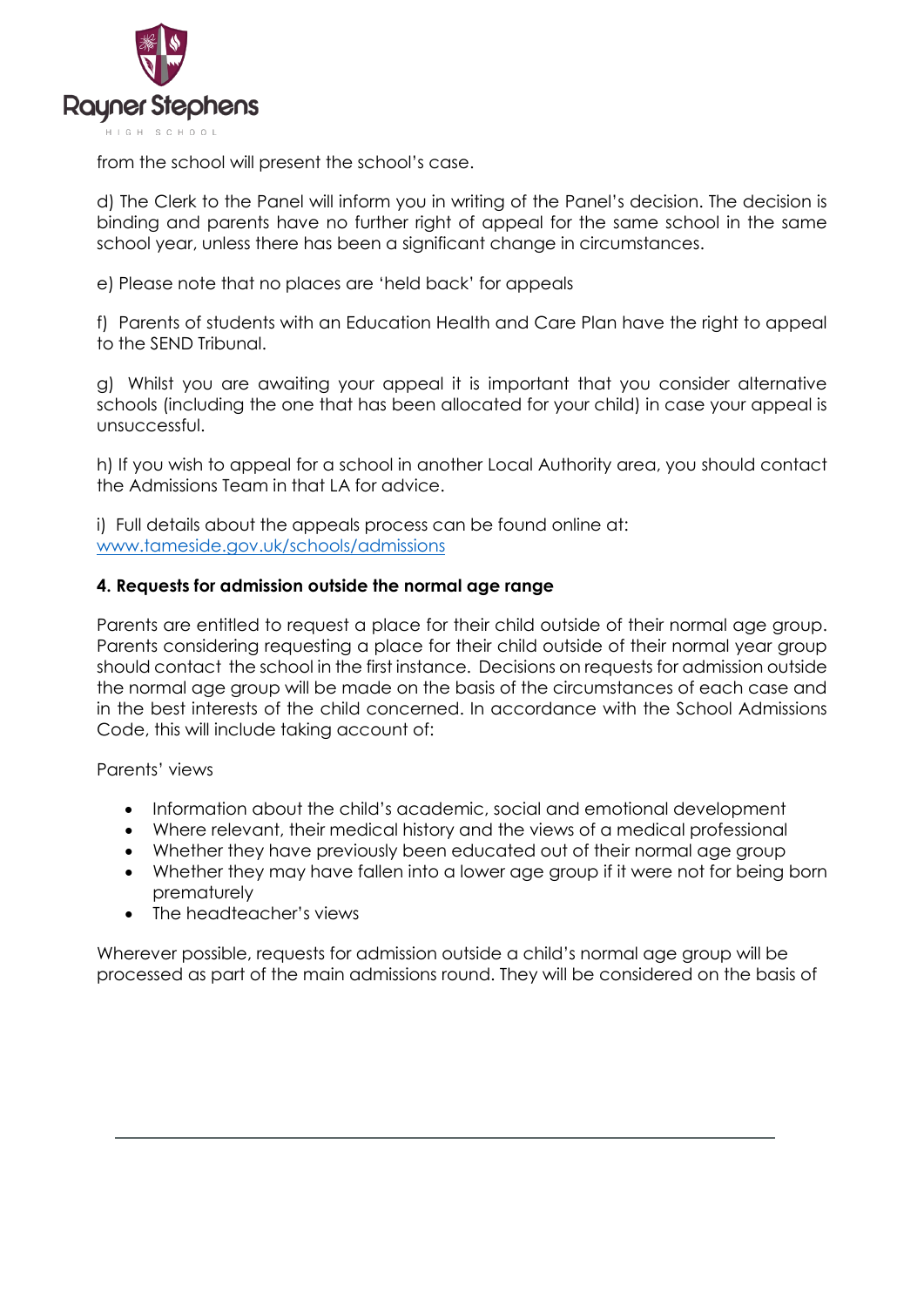

from the school will present the school's case.

d) The Clerk to the Panel will inform you in writing of the Panel's decision. The decision is binding and parents have no further right of appeal for the same school in the same school year, unless there has been a significant change in circumstances.

e) Please note that no places are 'held back' for appeals

f) Parents of students with an Education Health and Care Plan have the right to appeal to the SEND Tribunal.

g) Whilst you are awaiting your appeal it is important that you consider alternative schools (including the one that has been allocated for your child) in case your appeal is unsuccessful.

h) If you wish to appeal for a school in another Local Authority area, you should contact the Admissions Team in that LA for advice.

i) Full details about the appeals process can be found online at: [www.tameside.gov.uk/schools/admissions](http://www.tameside.gov.uk/schools/admissions) 

#### **4. Requests for admission outside the normal age range**

Parents are entitled to request a place for their child outside of their normal age group. Parents considering requesting a place for their child outside of their normal year group should contact the school in the first instance. Decisions on requests for admission outside the normal age group will be made on the basis of the circumstances of each case and in the best interests of the child concerned. In accordance with the School Admissions Code, this will include taking account of:

Parents' views

- Information about the child's academic, social and emotional development
- Where relevant, their medical history and the views of a medical professional
- Whether they have previously been educated out of their normal age group
- Whether they may have fallen into a lower age group if it were not for being born prematurely
- The headteacher's views

Wherever possible, requests for admission outside a child's normal age group will be processed as part of the main admissions round. They will be considered on the basis of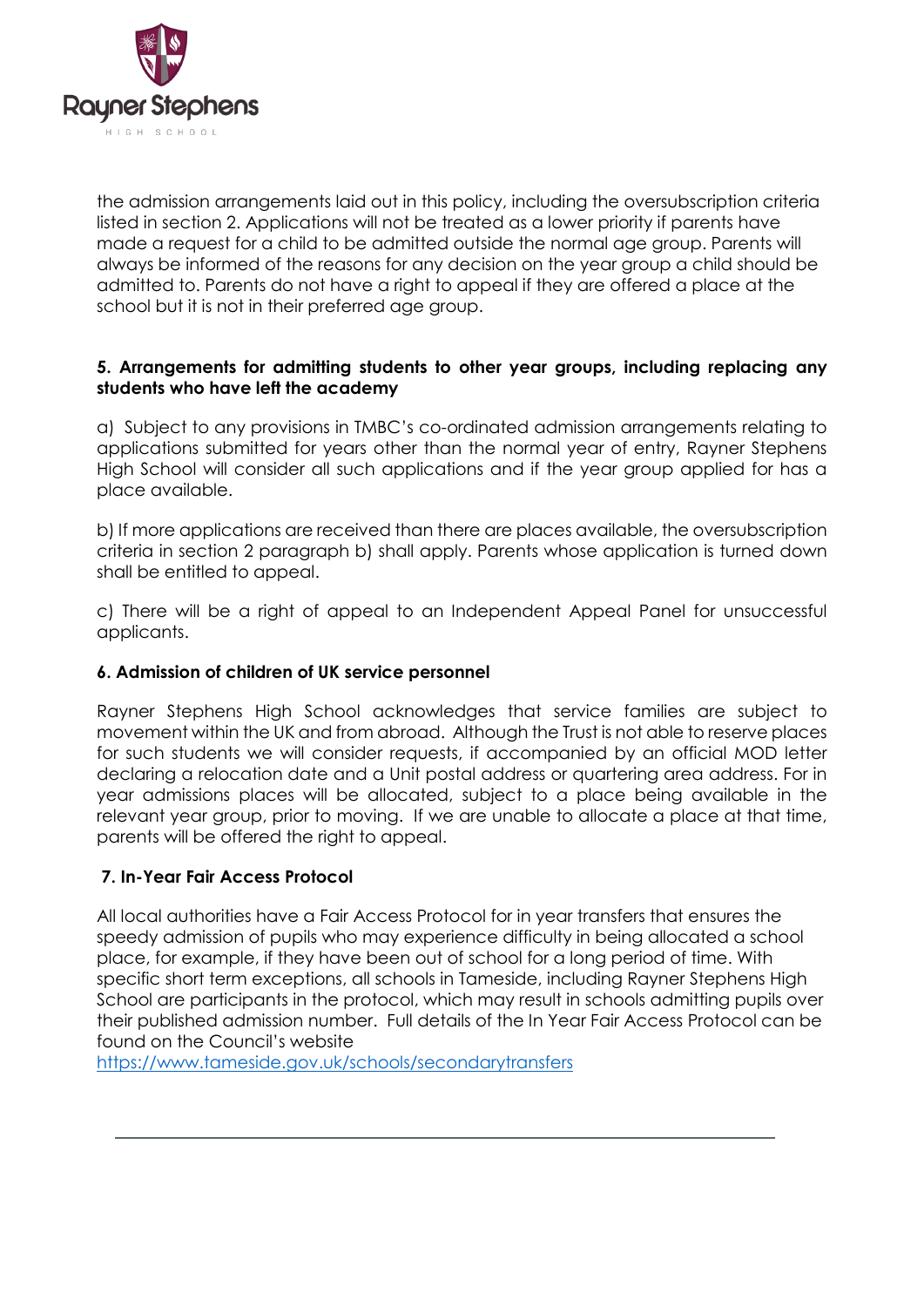

the admission arrangements laid out in this policy, including the oversubscription criteria listed in section 2. Applications will not be treated as a lower priority if parents have made a request for a child to be admitted outside the normal age group. Parents will always be informed of the reasons for any decision on the year group a child should be admitted to. Parents do not have a right to appeal if they are offered a place at the school but it is not in their preferred age group.

### **5. Arrangements for admitting students to other year groups, including replacing any students who have left the academy**

a) Subject to any provisions in TMBC's co-ordinated admission arrangements relating to applications submitted for years other than the normal year of entry, Rayner Stephens High School will consider all such applications and if the year group applied for has a place available.

b) If more applications are received than there are places available, the oversubscription criteria in section 2 paragraph b) shall apply. Parents whose application is turned down shall be entitled to appeal.

c) There will be a right of appeal to an Independent Appeal Panel for unsuccessful applicants.

### **6. Admission of children of UK service personnel**

Rayner Stephens High School acknowledges that service families are subject to movement within the UK and from abroad. Although the Trust is not able to reserve places for such students we will consider requests, if accompanied by an official MOD letter declaring a relocation date and a Unit postal address or quartering area address. For in year admissions places will be allocated, subject to a place being available in the relevant year group, prior to moving. If we are unable to allocate a place at that time, parents will be offered the right to appeal.

### **7. In-Year Fair Access Protocol**

All local authorities have a Fair Access Protocol for in year transfers that ensures the speedy admission of pupils who may experience difficulty in being allocated a school place, for example, if they have been out of school for a long period of time. With specific short term exceptions, all schools in Tameside, including Rayner Stephens High School are participants in the protocol, which may result in schools admitting pupils over their published admission number. Full details of the In Year Fair Access Protocol can be found on the Council's website

<https://www.tameside.gov.uk/schools/secondarytransfers>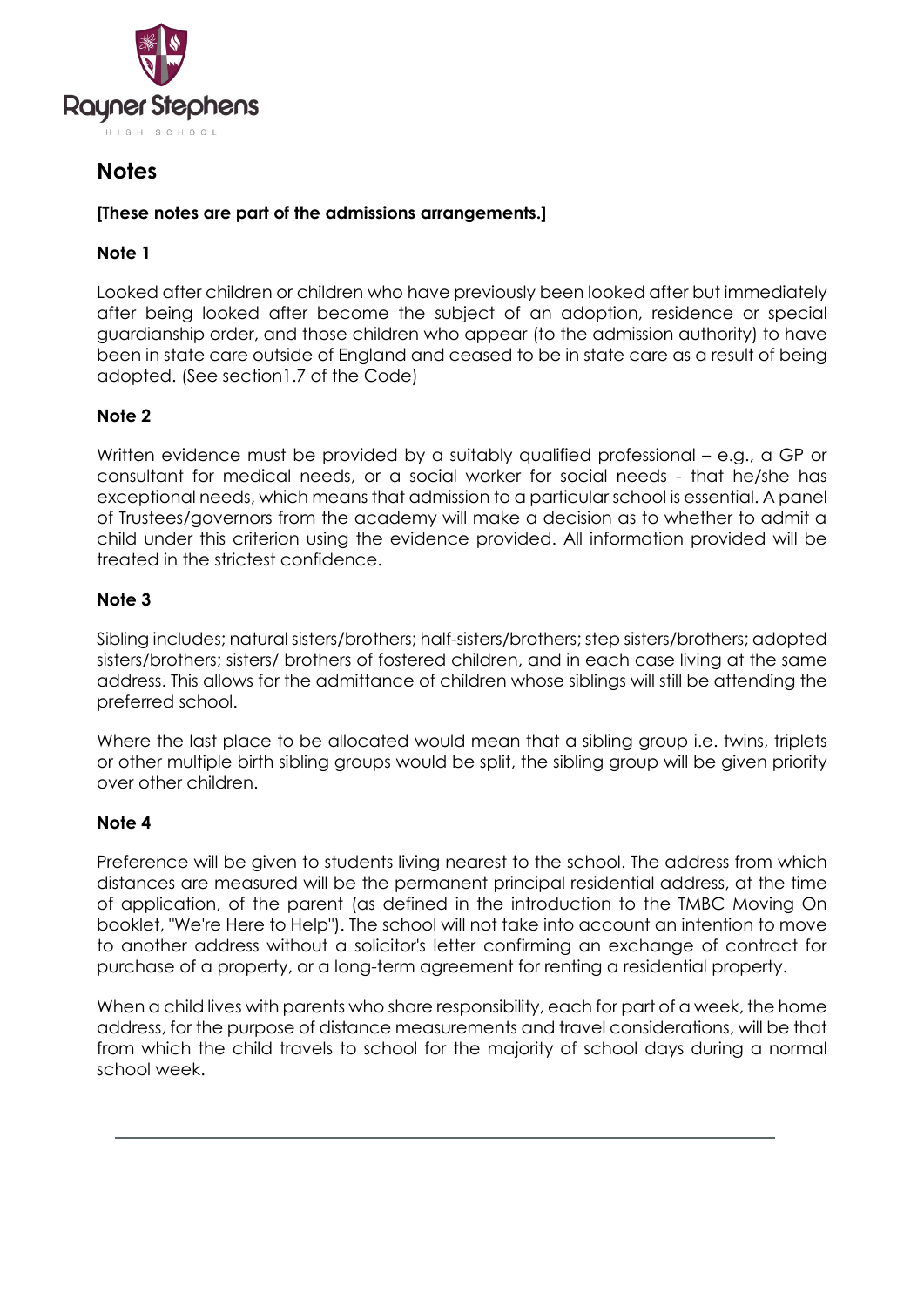

# **Notes**

### **[These notes are part of the admissions arrangements.]**

## **Note 1**

Looked after children or children who have previously been looked after but immediately after being looked after become the subject of an adoption, residence or special guardianship order, and those children who appear (to the admission authority) to have been in state care outside of England and ceased to be in state care as a result of being adopted. (See section1.7 of the Code)

## **Note 2**

Written evidence must be provided by a suitably qualified professional – e.g., a GP or consultant for medical needs, or a social worker for social needs - that he/she has exceptional needs, which means that admission to a particular school is essential. A panel of Trustees/governors from the academy will make a decision as to whether to admit a child under this criterion using the evidence provided. All information provided will be treated in the strictest confidence.

## **Note 3**

Sibling includes; natural sisters/brothers; half-sisters/brothers; step sisters/brothers; adopted sisters/brothers; sisters/ brothers of fostered children, and in each case living at the same address. This allows for the admittance of children whose siblings will still be attending the preferred school.

Where the last place to be allocated would mean that a sibling group i.e. twins, triplets or other multiple birth sibling groups would be split, the sibling group will be given priority over other children.

## **Note 4**

Preference will be given to students living nearest to the school. The address from which distances are measured will be the permanent principal residential address, at the time of application, of the parent (as defined in the introduction to the TMBC Moving On booklet, "We're Here to Help"). The school will not take into account an intention to move to another address without a solicitor's letter confirming an exchange of contract for purchase of a property, or a long-term agreement for renting a residential property.

When a child lives with parents who share responsibility, each for part of a week, the home address, for the purpose of distance measurements and travel considerations, will be that from which the child travels to school for the majority of school days during a normal school week.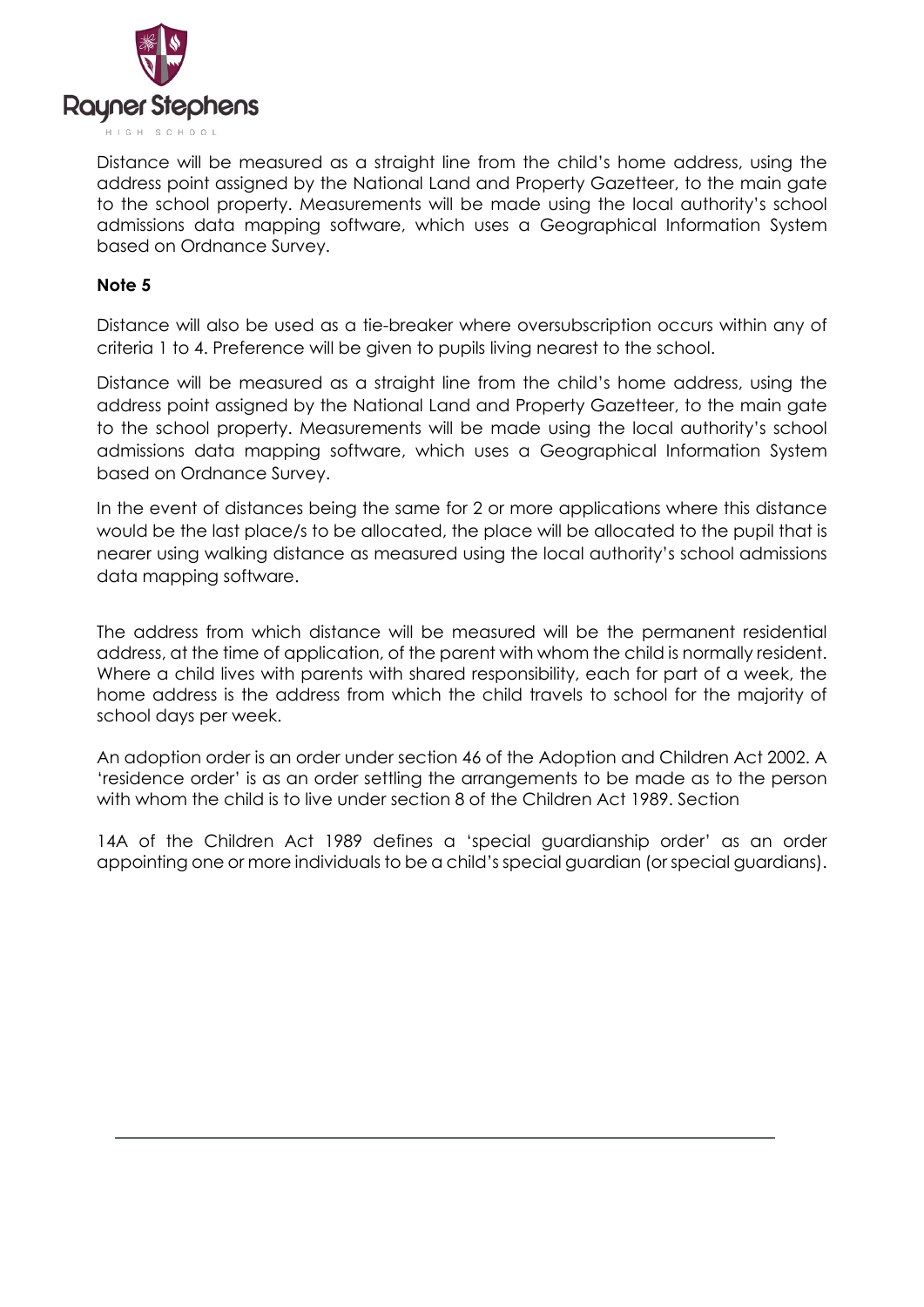

Distance will be measured as a straight line from the child's home address, using the address point assigned by the National Land and Property Gazetteer, to the main gate to the school property. Measurements will be made using the local authority's school admissions data mapping software, which uses a Geographical Information System based on Ordnance Survey.

### **Note 5**

Distance will also be used as a tie-breaker where oversubscription occurs within any of criteria 1 to 4. Preference will be given to pupils living nearest to the school.

Distance will be measured as a straight line from the child's home address, using the address point assigned by the National Land and Property Gazetteer, to the main gate to the school property. Measurements will be made using the local authority's school admissions data mapping software, which uses a Geographical Information System based on Ordnance Survey.

In the event of distances being the same for 2 or more applications where this distance would be the last place/s to be allocated, the place will be allocated to the pupil that is nearer using walking distance as measured using the local authority's school admissions data mapping software.

The address from which distance will be measured will be the permanent residential address, at the time of application, of the parent with whom the child is normally resident. Where a child lives with parents with shared responsibility, each for part of a week, the home address is the address from which the child travels to school for the majority of school days per week.

An adoption order is an order under section 46 of the Adoption and Children Act 2002. A 'residence order' is as an order settling the arrangements to be made as to the person with whom the child is to live under section 8 of the Children Act 1989. Section

14A of the Children Act 1989 defines a 'special guardianship order' as an order appointing one or more individuals to be a child's special guardian (or special guardians).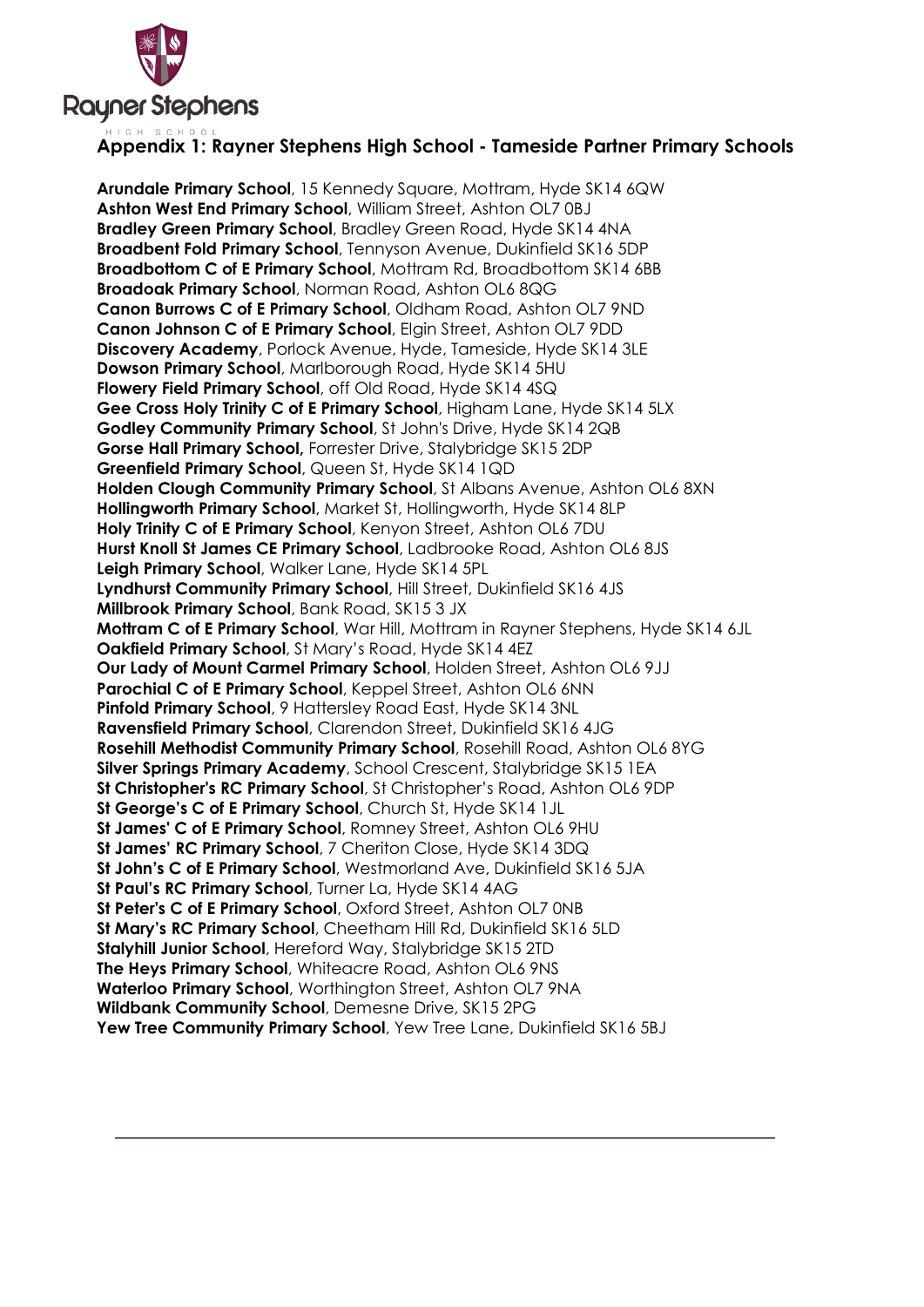

## **Appendix 1: Rayner Stephens High School - Tameside Partner Primary Schools**

**Arundale Primary School**, 15 Kennedy Square, Mottram, Hyde SK14 6QW **Ashton West End Primary School**, William Street, Ashton OL7 0BJ **Bradley Green Primary School**, Bradley Green Road, Hyde SK14 4NA **Broadbent Fold Primary School**, Tennyson Avenue, Dukinfield SK16 5DP **Broadbottom C of E Primary School**, Mottram Rd, Broadbottom SK14 6BB **Broadoak Primary School**, Norman Road, Ashton OL6 8QG **Canon Burrows C of E Primary School**, Oldham Road, Ashton OL7 9ND **Canon Johnson C of E Primary School**, Elgin Street, Ashton OL7 9DD **Discovery Academy**, Porlock Avenue, Hyde, Tameside, Hyde SK14 3LE **Dowson Primary School**, Marlborough Road, Hyde SK14 5HU **Flowery Field Primary School**, off Old Road, Hyde SK14 4SQ **Gee Cross Holy Trinity C of E Primary School**, Higham Lane, Hyde SK14 5LX **Godley Community Primary School**, St John's Drive, Hyde SK14 2QB **Gorse Hall Primary School,** Forrester Drive, Stalybridge SK15 2DP **Greenfield Primary School**, Queen St, Hyde SK14 1QD **Holden Clough Community Primary School**, St Albans Avenue, Ashton OL6 8XN **Hollingworth Primary School**, Market St, Hollingworth, Hyde SK14 8LP **Holy Trinity C of E Primary School**, Kenyon Street, Ashton OL6 7DU **Hurst Knoll St James CE Primary School**, Ladbrooke Road, Ashton OL6 8JS **Leigh Primary School**, Walker Lane, Hyde SK14 5PL **Lyndhurst Community Primary School**, Hill Street, Dukinfield SK16 4JS **Millbrook Primary School**, Bank Road, SK15 3 JX **Mottram C of E Primary School**, War Hill, Mottram in Rayner Stephens, Hyde SK14 6JL **Oakfield Primary School**, St Mary's Road, Hyde SK14 4EZ **Our Lady of Mount Carmel Primary School**, Holden Street, Ashton OL6 9JJ **Parochial C of E Primary School**, Keppel Street, Ashton OL6 6NN **Pinfold Primary School**, 9 Hattersley Road East, Hyde SK14 3NL **Ravensfield Primary School**, Clarendon Street, Dukinfield SK16 4JG **Rosehill Methodist Community Primary School**, Rosehill Road, Ashton OL6 8YG **Silver Springs Primary Academy**, School Crescent, Stalybridge SK15 1EA **St Christopher's RC Primary School**, St Christopher's Road, Ashton OL6 9DP **St George's C of E Primary School**, Church St, Hyde SK14 1JL **St James' C of E Primary School**, Romney Street, Ashton OL6 9HU **St James' RC Primary School**, 7 Cheriton Close, Hyde SK14 3DQ **St John's C of E Primary School**, Westmorland Ave, Dukinfield SK16 5JA **St Paul's RC Primary School**, Turner La, Hyde SK14 4AG **St Peter's C of E Primary School**, Oxford Street, Ashton OL7 0NB **St Mary's RC Primary School**, Cheetham Hill Rd, Dukinfield SK16 5LD **Stalyhill Junior School**, Hereford Way, Stalybridge SK15 2TD **The Heys Primary School**, Whiteacre Road, Ashton OL6 9NS **Waterloo Primary School**, Worthington Street, Ashton OL7 9NA **Wildbank Community School**, Demesne Drive, SK15 2PG **Yew Tree Community Primary School**, Yew Tree Lane, Dukinfield SK16 5BJ